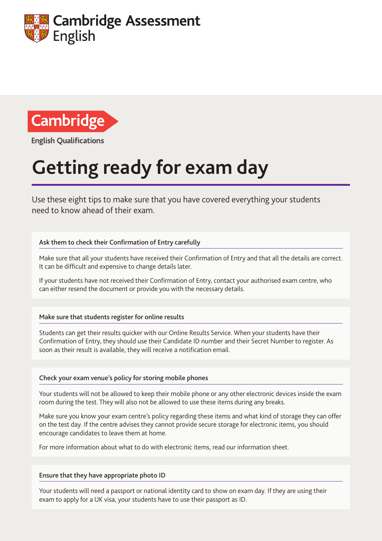



**English Qualifications** 

# **Getting ready for exam day**

Use these eight tips to make sure that you have covered everything your students need to know ahead of their exam.

### Ask them to check their Confirmation of Entry carefully

Make sure that all your students have received their Confirmation of Entry and that all the details are correct. It can be difficult and expensive to change details later.

If your students have not received their Confirmation of Entry, contact your authorised exam centre, who can either resend the document or provide you with the necessary details.

#### Make sure that students register for online results

Students can get their results quicker with our Online Results Service. When your students have their Confirmation of Entry, they should use their Candidate ID number and their Secret Number to register. As soon as their result is available, they will receive a notification email.

#### Check your exam venue's policy for storing mobile phones

Your students will not be allowed to keep their mobile phone or any other electronic devices inside the exam room during the test. They will also not be allowed to use these items during any breaks.

Make sure you know your exam centre's policy regarding these items and what kind of storage they can offer on the test day. If the centre advises they cannot provide secure storage for electronic items, you should encourage candidates to leave them at home.

For more information about what to do with electronic items, read our information sheet.

#### Ensure that they have appropriate photo ID

Your students will need a passport or national identity card to show on exam day. If they are using their exam to apply for a UK visa, your students have to use their passport as ID.